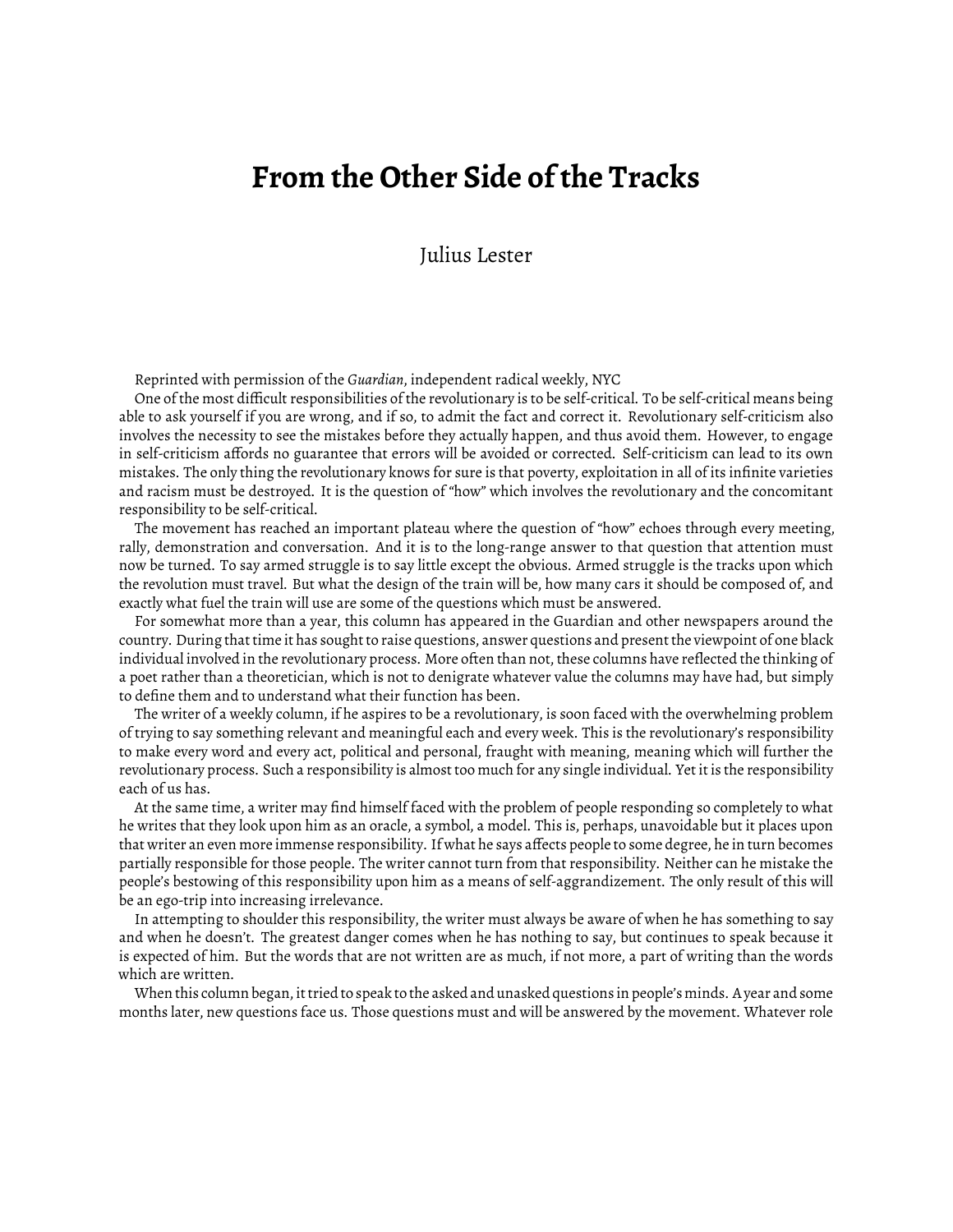## **From the Other Side of the Tracks**

Julius Lester

Reprinted with permission of the *Guardian*, independent radical weekly, NYC

One of the most difficult responsibilities of the revolutionary is to be self-critical. To be self-critical means being able to ask yourself if you are wrong, and if so, to admit the fact and correct it. Revolutionary self-criticism also involves the necessity to see the mistakes before they actually happen, and thus avoid them. However, to engage in self-criticism affords no guarantee that errors will be avoided or corrected. Self-criticism can lead to its own mistakes. The only thing the revolutionary knows for sure is that poverty, exploitation in all of its infinite varieties and racism must be destroyed. It is the question of "how" which involves the revolutionary and the concomitant responsibility to be self-critical.

The movement has reached an important plateau where the question of "how" echoes through every meeting, rally, demonstration and conversation. And it is to the long-range answer to that question that attention must now be turned. To say armed struggle is to say little except the obvious. Armed struggle is the tracks upon which the revolution must travel. But what the design of the train will be, how many cars it should be composed of, and exactly what fuel the train will use are some of the questions which must be answered.

For somewhat more than a year, this column has appeared in the Guardian and other newspapers around the country. During that time it has sought to raise questions, answer questions and present the viewpoint of one black individual involved in the revolutionary process. More often than not, these columns have reflected the thinking of a poet rather than a theoretician, which is not to denigrate whatever value the columns may have had, but simply to define them and to understand what their function has been.

The writer of a weekly column, if he aspires to be a revolutionary, is soon faced with the overwhelming problem of trying to say something relevant and meaningful each and every week. This is the revolutionary's responsibility to make every word and every act, political and personal, fraught with meaning, meaning which will further the revolutionary process. Such a responsibility is almost too much for any single individual. Yet it is the responsibility each of us has.

At the same time, a writer may find himself faced with the problem of people responding so completely to what he writes that they look upon him as an oracle, a symbol, a model. This is, perhaps, unavoidable but it places upon that writer an even more immense responsibility. If what he says affects people to some degree, he in turn becomes partially responsible for those people. The writer cannot turn from that responsibility. Neither can he mistake the people's bestowing of this responsibility upon him as a means of self-aggrandizement. The only result of this will be an ego-trip into increasing irrelevance.

In attempting to shoulder this responsibility, the writer must always be aware of when he has something to say and when he doesn't. The greatest danger comes when he has nothing to say, but continues to speak because it is expected of him. But the words that are not written are as much, if not more, a part of writing than the words which are written.

When this column began, it tried to speak to the asked and unasked questions in people's minds. A year and some months later, new questions face us. Those questions must and will be answered by the movement. Whatever role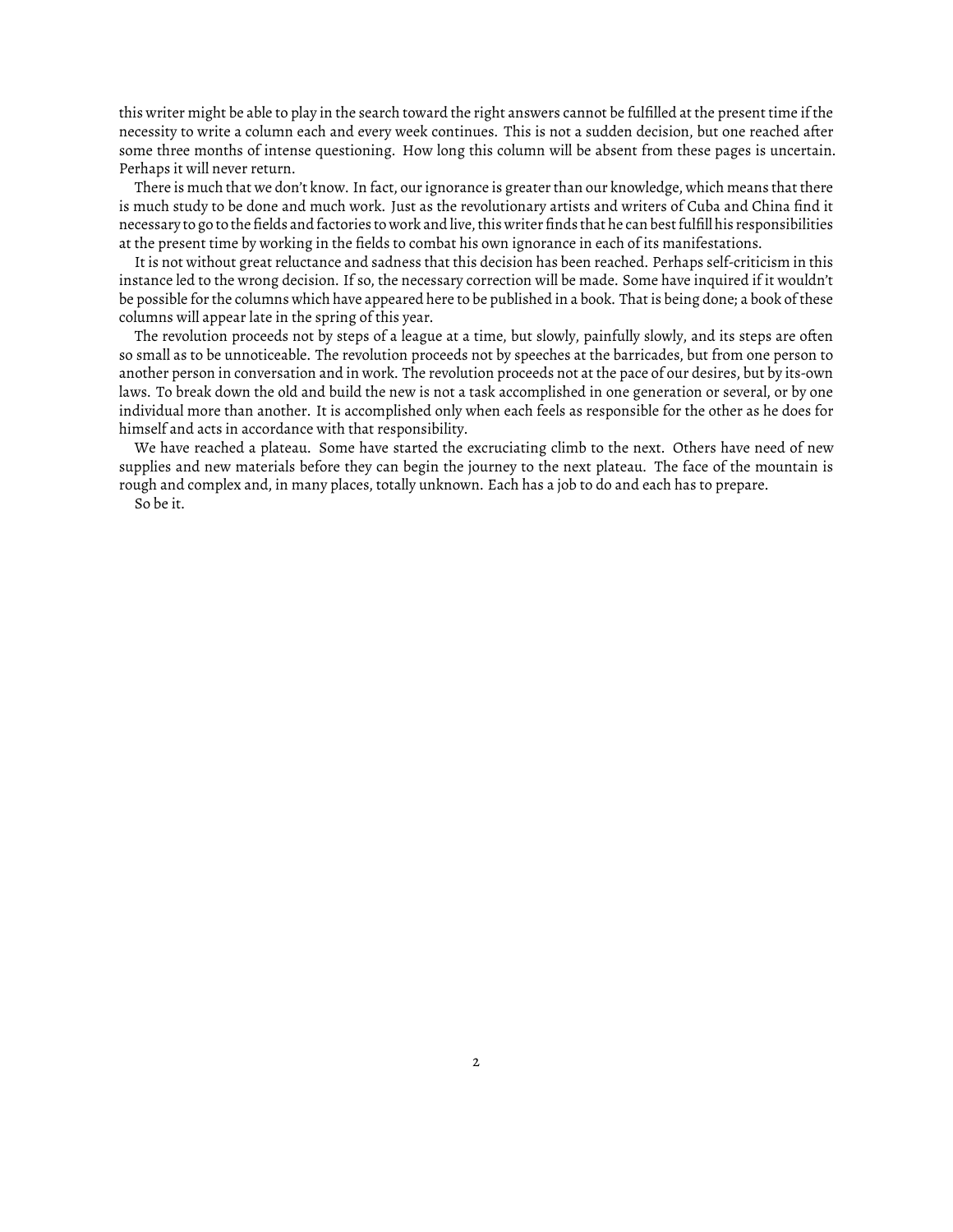this writer might be able to play in the search toward the right answers cannot be fulfilled at the present time if the necessity to write a column each and every week continues. This is not a sudden decision, but one reached after some three months of intense questioning. How long this column will be absent from these pages is uncertain. Perhaps it will never return.

There is much that we don't know. In fact, our ignorance is greater than our knowledge, which means that there is much study to be done and much work. Just as the revolutionary artists and writers of Cuba and China find it necessary to go to the fields and factories to work and live, this writer finds that he can best fulfill his responsibilities at the present time by working in the fields to combat his own ignorance in each of its manifestations.

It is not without great reluctance and sadness that this decision has been reached. Perhaps self-criticism in this instance led to the wrong decision. If so, the necessary correction will be made. Some have inquired if it wouldn't be possible for the columns which have appeared here to be published in a book. That is being done; a book of these columns will appear late in the spring of this year.

The revolution proceeds not by steps of a league at a time, but slowly, painfully slowly, and its steps are often so small as to be unnoticeable. The revolution proceeds not by speeches at the barricades, but from one person to another person in conversation and in work. The revolution proceeds not at the pace of our desires, but by its-own laws. To break down the old and build the new is not a task accomplished in one generation or several, or by one individual more than another. It is accomplished only when each feels as responsible for the other as he does for himself and acts in accordance with that responsibility.

We have reached a plateau. Some have started the excruciating climb to the next. Others have need of new supplies and new materials before they can begin the journey to the next plateau. The face of the mountain is rough and complex and, in many places, totally unknown. Each has a job to do and each has to prepare.